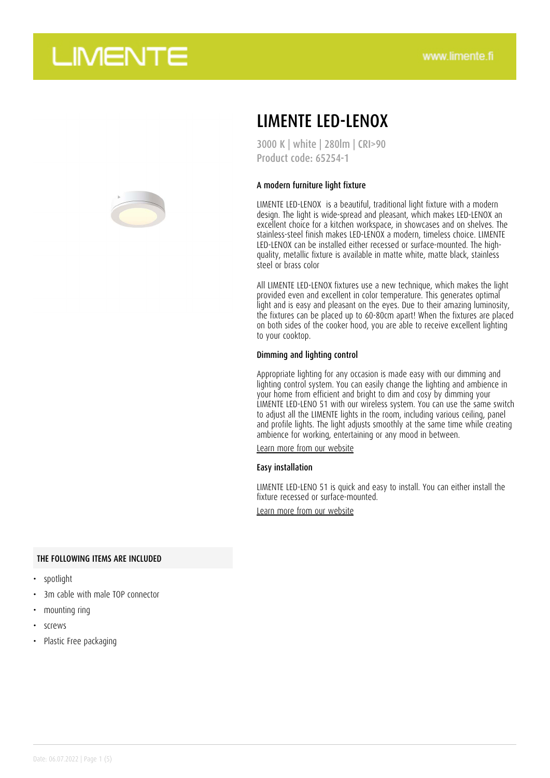

### LIMENTE LED-LENOX

3000 K | white | 280lm | CRI>90 Product code: 65254-1

#### A modern furniture light fixture

LIMENTE LED-LENOX is a beautiful, traditional light fixture with a modern design. The light is wide-spread and pleasant, which makes LED-LENOX an excellent choice for a kitchen workspace, in showcases and on shelves. The stainless-steel finish makes LED-LENOX a modern, timeless choice. LIMENTE LED-LENOX can be installed either recessed or surface-mounted. The highquality, metallic fixture is available in matte white, matte black, stainless steel or brass color

All LIMENTE LED-LENOX fixtures use a new technique, which makes the light provided even and excellent in color temperature. This generates optimal light and is easy and pleasant on the eyes. Due to their amazing luminosity, the fixtures can be placed up to 60-80cm apart! When the fixtures are placed on both sides of the cooker hood, you are able to receive excellent lighting to your cooktop.

#### Dimming and lighting control

Appropriate lighting for any occasion is made easy with our dimming and lighting control system. You can easily change the lighting and ambience in your home from efficient and bright to dim and cosy by dimming your LIMENTE LED-LENO 51 with our wireless system. You can use the same switch to adjust all the LIMENTE lights in the room, including various ceiling, panel and profile lights. The light adjusts smoothly at the same time while creating ambience for working, entertaining or any mood in between.

[Learn more from our website](https://www.limente.fi/tuotteet/65254-1)

#### Easy installation

LIMENTE LED-LENO 51 is quick and easy to install. You can either install the fixture recessed or surface-mounted.

[Learn more from our website](https://www.limente.fi/tuotteet/65254-1)

#### THE FOLLOWING ITEMS ARE INCLUDED

- spotlight
- 3m cable with male TOP connector
- mounting ring
- screws
- Plastic Free packaging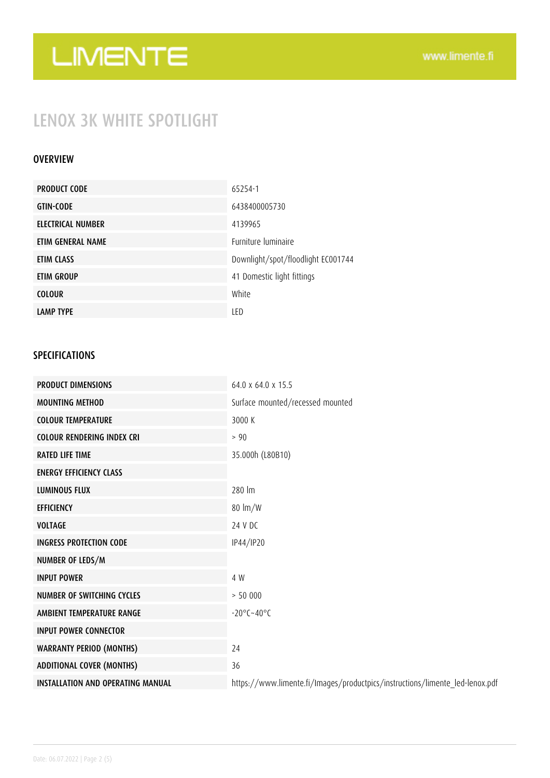## LENOX 3K WHITE SPOTLIGHT

#### OVERVIEW

| <b>PRODUCT CODE</b> | 65254-1                            |
|---------------------|------------------------------------|
| <b>GTIN-CODE</b>    | 6438400005730                      |
| ELECTRICAL NUMBER   | 4139965                            |
| ETIM GENERAL NAME   | <b>Furniture luminaire</b>         |
| ETIM CLASS          | Downlight/spot/floodlight EC001744 |
| ETIM GROUP          | 41 Domestic light fittings         |
| <b>COLOUR</b>       | White                              |
| <b>LAMP TYPE</b>    | LED                                |

### SPECIFICATIONS

| <b>PRODUCT DIMENSIONS</b>                | 64.0 x 64.0 x 15.5                                                           |
|------------------------------------------|------------------------------------------------------------------------------|
| <b>MOUNTING METHOD</b>                   | Surface mounted/recessed mounted                                             |
| <b>COLOUR TEMPERATURE</b>                | 3000 K                                                                       |
| <b>COLOUR RENDERING INDEX CRI</b>        | > 90                                                                         |
| <b>RATED LIFE TIME</b>                   | 35.000h (L80B10)                                                             |
| <b>ENERGY EFFICIENCY CLASS</b>           |                                                                              |
| <b>LUMINOUS FLUX</b>                     | 280 lm                                                                       |
| <b>EFFICIENCY</b>                        | $80 \text{ lm/W}$                                                            |
| <b>VOLTAGE</b>                           | 24 V DC                                                                      |
| <b>INGRESS PROTECTION CODE</b>           | IP44/IP20                                                                    |
| NUMBER OF LEDS/M                         |                                                                              |
| <b>INPUT POWER</b>                       | 4 W                                                                          |
| NUMBER OF SWITCHING CYCLES               | > 50000                                                                      |
| AMBIENT TEMPERATURE RANGE                | $-20^{\circ}$ C $-40^{\circ}$ C                                              |
| <b>INPUT POWER CONNECTOR</b>             |                                                                              |
| <b>WARRANTY PERIOD (MONTHS)</b>          | 24                                                                           |
| <b>ADDITIONAL COVER (MONTHS)</b>         | 36                                                                           |
| <b>INSTALLATION AND OPERATING MANUAL</b> | https://www.limente.fi/Images/productpics/instructions/limente_led-lenox.pdf |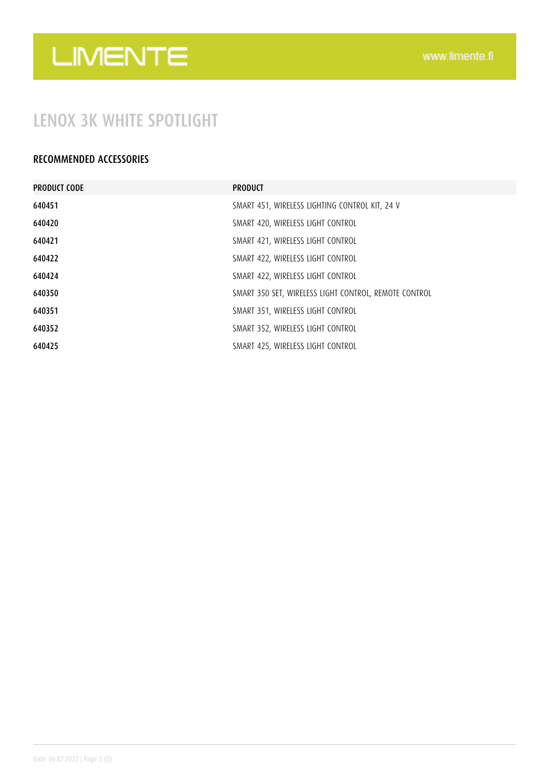### LENOX 3K WHITE SPOTLIGHT

### RECOMMENDED ACCESSORIES

| <b>PRODUCT CODE</b> | <b>PRODUCT</b>                                        |
|---------------------|-------------------------------------------------------|
| 640451              | SMART 451, WIRELESS LIGHTING CONTROL KIT, 24 V        |
| 640420              | SMART 420, WIRELESS LIGHT CONTROL                     |
| 640421              | SMART 421, WIRELESS LIGHT CONTROL                     |
| 640422              | SMART 422, WIRELESS LIGHT CONTROL                     |
| 640424              | SMART 422, WIRELESS LIGHT CONTROL                     |
| 640350              | SMART 350 SET, WIRELESS LIGHT CONTROL, REMOTE CONTROL |
| 640351              | SMART 351, WIRELESS LIGHT CONTROL                     |
| 640352              | SMART 352, WIRELESS LIGHT CONTROL                     |
| 640425              | SMART 425, WIRELESS LIGHT CONTROL                     |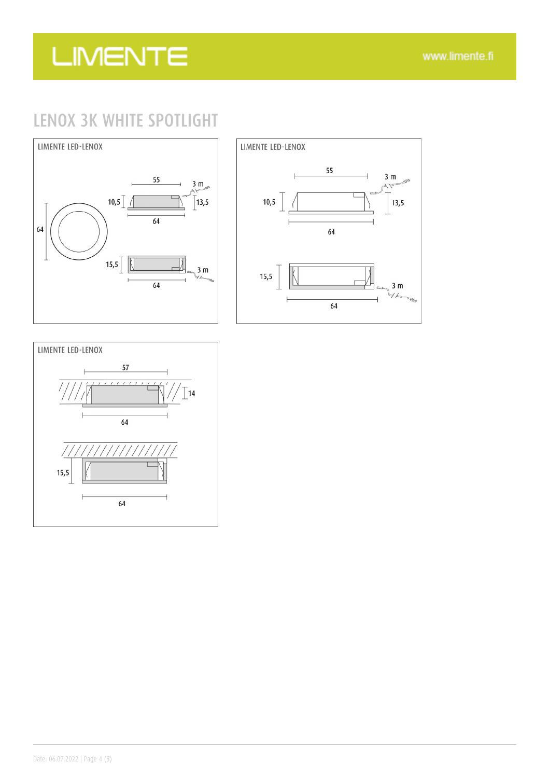### LENOX 3K WHITE SPOTLIGHT